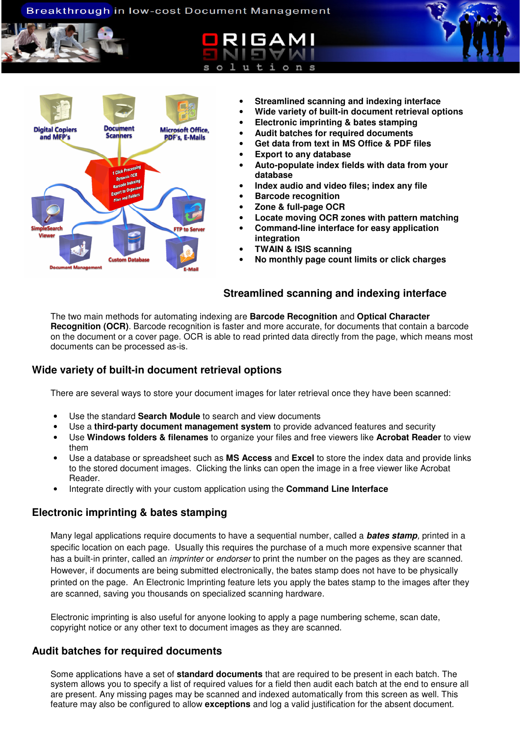### Breakthrough in low-cost Document Management





- **Streamlined scanning and indexing interface**
- **Wide variety of built-in document retrieval options**
- **Electronic imprinting & bates stamping**
- **Audit batches for required documents**
- **Get data from text in MS Office & PDF files**
- **Export to any database**
- **Auto-populate index fields with data from your database**
- **Index audio and video files; index any file**
- **Barcode recognition**
- **Zone & full-page OCR**
- **Locate moving OCR zones with pattern matching**
- **Command-line interface for easy application integration**
- **TWAIN & ISIS scanning**
- **No monthly page count limits or click charges**

### **Streamlined scanning and indexing interface**

The two main methods for automating indexing are **Barcode Recognition** and **Optical Character Recognition (OCR)**. Barcode recognition is faster and more accurate, for documents that contain a barcode on the document or a cover page. OCR is able to read printed data directly from the page, which means most documents can be processed as-is.

## **Wide variety of built-in document retrieval options**

There are several ways to store your document images for later retrieval once they have been scanned:

- Use the standard **Search Module** to search and view documents
- Use a **third-party document management system** to provide advanced features and security
- Use **Windows folders & filenames** to organize your files and free viewers like **Acrobat Reader** to view them
- Use a database or spreadsheet such as **MS Access** and **Excel** to store the index data and provide links to the stored document images. Clicking the links can open the image in a free viewer like Acrobat Reader.
- Integrate directly with your custom application using the **Command Line Interface**

## **Electronic imprinting & bates stamping**

Many legal applications require documents to have a sequential number, called a **bates stamp**, printed in a specific location on each page. Usually this requires the purchase of a much more expensive scanner that has a built-in printer, called an *imprinter* or *endorser* to print the number on the pages as they are scanned. However, if documents are being submitted electronically, the bates stamp does not have to be physically printed on the page. An Electronic Imprinting feature lets you apply the bates stamp to the images after they are scanned, saving you thousands on specialized scanning hardware.

Electronic imprinting is also useful for anyone looking to apply a page numbering scheme, scan date, copyright notice or any other text to document images as they are scanned.

### **Audit batches for required documents**

Some applications have a set of **standard documents** that are required to be present in each batch. The system allows you to specify a list of required values for a field then audit each batch at the end to ensure all are present. Any missing pages may be scanned and indexed automatically from this screen as well. This feature may also be configured to allow **exceptions** and log a valid justification for the absent document.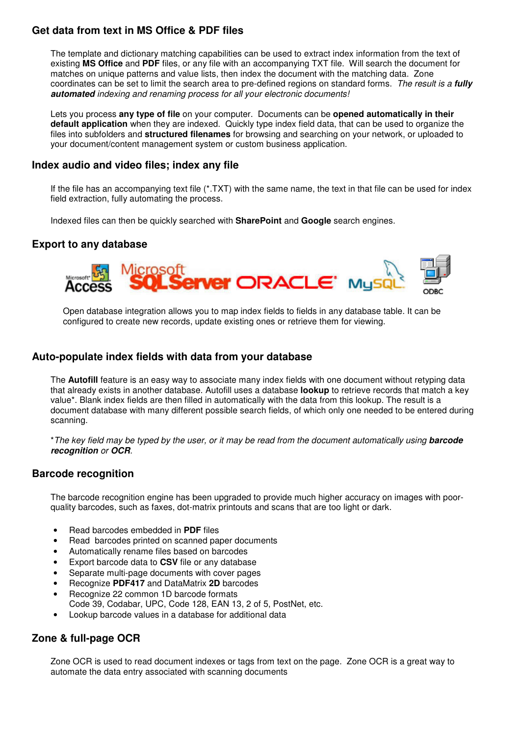# **Get data from text in MS Office & PDF files**

The template and dictionary matching capabilities can be used to extract index information from the text of existing **MS Office** and **PDF** files, or any file with an accompanying TXT file. Will search the document for matches on unique patterns and value lists, then index the document with the matching data. Zone coordinates can be set to limit the search area to pre-defined regions on standard forms. The result is a **fully automated** indexing and renaming process for all your electronic documents!

Lets you process **any type of file** on your computer. Documents can be **opened automatically in their default application** when they are indexed. Quickly type index field data, that can be used to organize the files into subfolders and **structured filenames** for browsing and searching on your network, or uploaded to your document/content management system or custom business application.

### **Index audio and video files; index any file**

If the file has an accompanying text file (\*.TXT) with the same name, the text in that file can be used for index field extraction, fully automating the process.

Indexed files can then be quickly searched with **SharePoint** and **Google** search engines.

# **Export to any database**



Open database integration allows you to map index fields to fields in any database table. It can be configured to create new records, update existing ones or retrieve them for viewing.

### **Auto-populate index fields with data from your database**

The **Autofill** feature is an easy way to associate many index fields with one document without retyping data that already exists in another database. Autofill uses a database **lookup** to retrieve records that match a key value\*. Blank index fields are then filled in automatically with the data from this lookup. The result is a document database with many different possible search fields, of which only one needed to be entered during scanning.

\*The key field may be typed by the user, or it may be read from the document automatically using **barcode recognition** or **OCR**.

### **Barcode recognition**

The barcode recognition engine has been upgraded to provide much higher accuracy on images with poorquality barcodes, such as faxes, dot-matrix printouts and scans that are too light or dark.

- Read barcodes embedded in **PDF** files
- Read barcodes printed on scanned paper documents
- Automatically rename files based on barcodes
- Export barcode data to **CSV** file or any database
- Separate multi-page documents with cover pages
- Recognize **PDF417** and DataMatrix **2D** barcodes
- Recognize 22 common 1D barcode formats
- Code 39, Codabar, UPC, Code 128, EAN 13, 2 of 5, PostNet, etc.
- Lookup barcode values in a database for additional data

# **Zone & full-page OCR**

Zone OCR is used to read document indexes or tags from text on the page. Zone OCR is a great way to automate the data entry associated with scanning documents